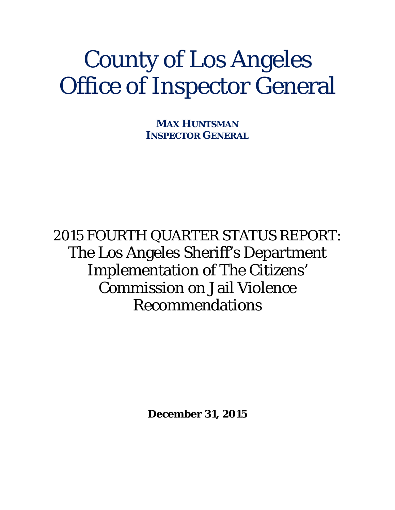# County of Los Angeles Office of Inspector General

**MAX HUNTSMAN INSPECTOR GENERAL**

2015 FOURTH QUARTER STATUS REPORT: The Los Angeles Sheriff's Department Implementation of The Citizens' Commission on Jail Violence Recommendations

**December 31, 2015**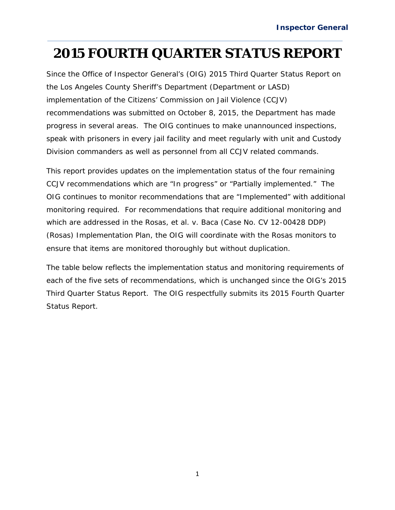## **2015 FOURTH QUARTER STATUS REPORT**

Since the Office of Inspector General's (OIG) *2015 Third Quarter Status Report* on the Los Angeles County Sheriff's Department (Department or LASD) implementation of the Citizens' Commission on Jail Violence (CCJV) recommendations was submitted on October 8, 2015, the Department has made progress in several areas. The OIG continues to make unannounced inspections, speak with prisoners in every jail facility and meet regularly with unit and Custody Division commanders as well as personnel from all CCJV related commands.

This report provides updates on the implementation status of the four remaining CCJV recommendations which are "In progress" or "Partially implemented." The OIG continues to monitor recommendations that are "Implemented" with additional monitoring required. For recommendations that require additional monitoring and which are addressed in the *Rosas, et al. v. Baca* (Case No. CV 12-00428 DDP) (*Rosas*) Implementation Plan, the OIG will coordinate with the *Rosas* monitors to ensure that items are monitored thoroughly but without duplication.

The table below reflects the implementation status and monitoring requirements of each of the five sets of recommendations, which is unchanged since the OIG's *2015 Third Quarter Status Report*. The OIG respectfully submits its 2015 Fourth Quarter Status Report*.*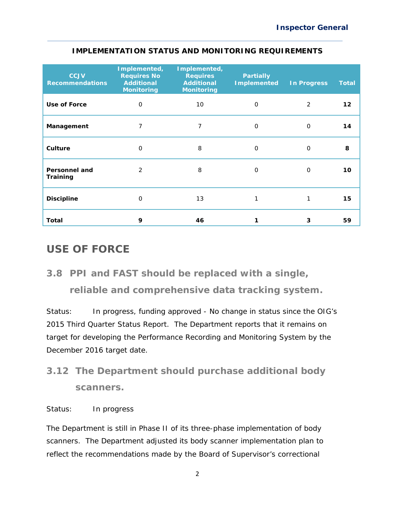| <b>CCJV</b><br><b>Recommendations</b> | Implemented,<br><b>Requires No</b><br><b>Additional</b><br><b>Monitoring</b> | Implemented,<br><b>Requires</b><br><b>Additional</b><br><b>Monitoring</b> | <b>Partially</b><br><b>Implemented</b> | <b>In Progress</b> | <b>Total</b> |
|---------------------------------------|------------------------------------------------------------------------------|---------------------------------------------------------------------------|----------------------------------------|--------------------|--------------|
| Use of Force                          | 0                                                                            | 10 <sup>°</sup>                                                           | $\Omega$                               | 2                  | 12           |
| Management                            | 7                                                                            | 7                                                                         | $\Omega$                               | $\Omega$           | 14           |
| Culture                               | $\Omega$                                                                     | 8                                                                         | $\Omega$                               | $\Omega$           | 8            |
| <b>Personnel and</b><br>Training      | $\mathcal{P}$                                                                | 8                                                                         | $\Omega$                               | $\Omega$           | 10           |
| <b>Discipline</b>                     | $\Omega$                                                                     | 13                                                                        | 1                                      | 1                  | 15           |
| Total                                 | 9                                                                            | 46                                                                        |                                        | 3                  | 59           |

#### **IMPLEMENTATION STATUS AND MONITORING REQUIREMENTS**

#### **USE OF FORCE**

### *3.8 PPI and FAST should be replaced with a single, reliable and comprehensive data tracking system.*

*Status: In progress, funding approved* - No change in status since the OIG's *2015 Third Quarter Status Report.* The Department reports that it remains on target for developing the Performance Recording and Monitoring System by the December 2016 target date.

## *3.12 The Department should purchase additional body scanners.*

#### *Status: In progress*

The Department is still in Phase II of its three-phase implementation of body scanners. The Department adjusted its body scanner implementation plan to reflect the recommendations made by the Board of Supervisor's correctional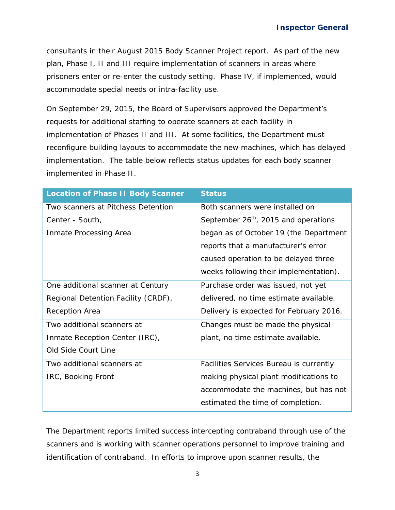consultants in their August 2015 Body Scanner Project report. As part of the new plan, Phase I, II and III require implementation of scanners in areas where prisoners enter or re-enter the custody setting. Phase IV, if implemented, would accommodate special needs or intra-facility use.

On September 29, 2015, the Board of Supervisors approved the Department's requests for additional staffing to operate scanners at each facility in implementation of Phases II and III. At some facilities, the Department must reconfigure building layouts to accommodate the new machines, which has delayed implementation. The table below reflects status updates for each body scanner implemented in Phase II.

| <b>Location of Phase II Body Scanner</b> | <b>Status</b>                             |  |  |
|------------------------------------------|-------------------------------------------|--|--|
| Two scanners at Pitchess Detention       | Both scanners were installed on           |  |  |
| Center - South,                          | September $26^{th}$ , 2015 and operations |  |  |
| Inmate Processing Area                   | began as of October 19 (the Department    |  |  |
|                                          | reports that a manufacturer's error       |  |  |
|                                          | caused operation to be delayed three      |  |  |
|                                          | weeks following their implementation).    |  |  |
| One additional scanner at Century        | Purchase order was issued, not yet        |  |  |
| Regional Detention Facility (CRDF),      | delivered, no time estimate available.    |  |  |
| Reception Area                           | Delivery is expected for February 2016.   |  |  |
| Two additional scanners at               | Changes must be made the physical         |  |  |
| Inmate Reception Center (IRC),           | plant, no time estimate available.        |  |  |
| Old Side Court Line                      |                                           |  |  |
| Two additional scanners at               | Facilities Services Bureau is currently   |  |  |
| IRC, Booking Front                       | making physical plant modifications to    |  |  |
|                                          | accommodate the machines, but has not     |  |  |
|                                          | estimated the time of completion.         |  |  |

The Department reports limited success intercepting contraband through use of the scanners and is working with scanner operations personnel to improve training and identification of contraband. In efforts to improve upon scanner results, the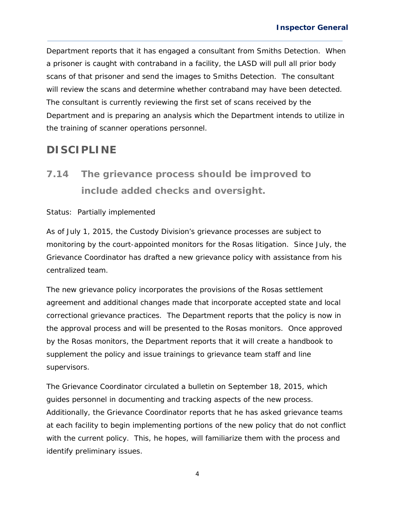Department reports that it has engaged a consultant from Smiths Detection. When a prisoner is caught with contraband in a facility, the LASD will pull all prior body scans of that prisoner and send the images to Smiths Detection. The consultant will review the scans and determine whether contraband may have been detected. The consultant is currently reviewing the first set of scans received by the Department and is preparing an analysis which the Department intends to utilize in the training of scanner operations personnel.

#### **DISCIPLINE**

*7.14 The grievance process should be improved to include added checks and oversight.* 

#### *Status: Partially implemented*

As of July 1, 2015, the Custody Division's grievance processes are subject to monitoring by the court-appointed monitors for the *Rosas* litigation. Since July, the Grievance Coordinator has drafted a new grievance policy with assistance from his centralized team.

The new grievance policy incorporates the provisions of the *Rosas* settlement agreement and additional changes made that incorporate accepted state and local correctional grievance practices. The Department reports that the policy is now in the approval process and will be presented to the *Rosas* monitors. Once approved by the *Rosas* monitors, the Department reports that it will create a handbook to supplement the policy and issue trainings to grievance team staff and line supervisors.

The Grievance Coordinator circulated a bulletin on September 18, 2015, which guides personnel in documenting and tracking aspects of the new process. Additionally, the Grievance Coordinator reports that he has asked grievance teams at each facility to begin implementing portions of the new policy that do not conflict with the current policy. This, he hopes, will familiarize them with the process and identify preliminary issues.

4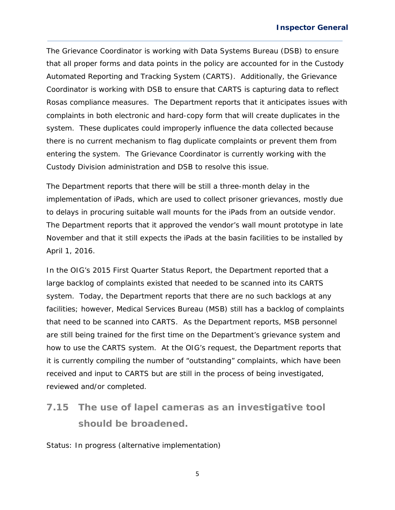The Grievance Coordinator is working with Data Systems Bureau (DSB) to ensure that all proper forms and data points in the policy are accounted for in the Custody Automated Reporting and Tracking System (CARTS). Additionally, the Grievance Coordinator is working with DSB to ensure that CARTS is capturing data to reflect *Rosas* compliance measures. The Department reports that it anticipates issues with complaints in both electronic and hard-copy form that will create duplicates in the system. These duplicates could improperly influence the data collected because there is no current mechanism to flag duplicate complaints or prevent them from entering the system. The Grievance Coordinator is currently working with the Custody Division administration and DSB to resolve this issue.

The Department reports that there will be still a three-month delay in the implementation of iPads, which are used to collect prisoner grievances, mostly due to delays in procuring suitable wall mounts for the iPads from an outside vendor. The Department reports that it approved the vendor's wall mount prototype in late November and that it still expects the iPads at the basin facilities to be installed by April 1, 2016.

In the OIG's *2015 First Quarter Status Report*, the Department reported that a large backlog of complaints existed that needed to be scanned into its CARTS system. Today, the Department reports that there are no such backlogs at any facilities; however, Medical Services Bureau (MSB) still has a backlog of complaints that need to be scanned into CARTS. As the Department reports, MSB personnel are still being trained for the first time on the Department's grievance system and how to use the CARTS system. At the OIG's request, the Department reports that it is currently compiling the number of "outstanding" complaints, which have been received and input to CARTS but are still in the process of being investigated, reviewed and/or completed.

## *7.15 The use of lapel cameras as an investigative tool should be broadened.*

*Status: In progress (alternative implementation)*